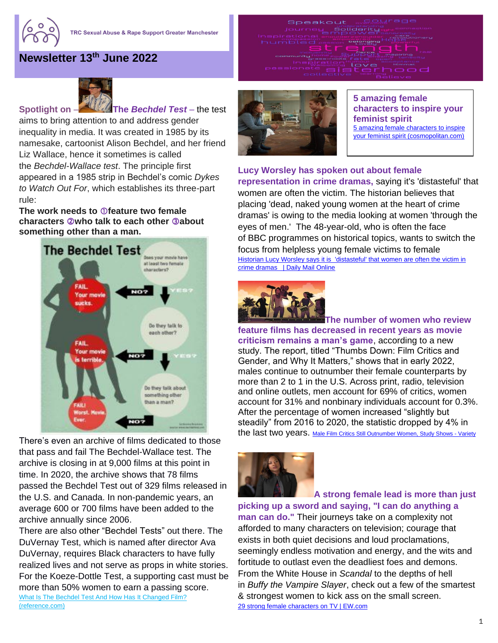

## **Newsletter 13 th June 2022**



Ferent love

Speakout

anderstanding<br>Hammower

Pergogina Hoj



**5 amazing female characters to inspire your feminist spirit** [5 amazing female characters to inspire](https://www.cosmopolitan.com/uk/entertainment/a39171095/5-amazing-female-characters-to-inspire-your-feminist-spirit/?utm_source=facebook&utm_medium=social&utm_campaign=sponsored&fbclid=IwAR3TsLla0mNm55uELMwvBU62YbIQ5FqnREw4SkBgl0M2Yyq4VkEHtKaAv7o)  [your feminist spirit \(cosmopolitan.com\)](https://www.cosmopolitan.com/uk/entertainment/a39171095/5-amazing-female-characters-to-inspire-your-feminist-spirit/?utm_source=facebook&utm_medium=social&utm_campaign=sponsored&fbclid=IwAR3TsLla0mNm55uELMwvBU62YbIQ5FqnREw4SkBgl0M2Yyq4VkEHtKaAv7o)

## **Lucy Worsley has spoken out about female**

**representation in [crime](https://www.dailymail.co.uk/news/crime/index.html) dramas,** saying it's 'distasteful' that women are often the victim. The historian believes that placing 'dead, naked young women at the heart of crime dramas' is owing to the media looking at women 'through the eyes of men.' The 48-year-old, who is often the face of [BBC](https://www.dailymail.co.uk/news/bbc/index.html) programmes on historical topics, wants to switch the focus from helpless young female victims to female Historian Lucy Worsley says it is 'distasteful' that women are often the victim in [crime dramas | Daily Mail Online](https://www.dailymail.co.uk/tvshowbiz/article-10752863/Historian-Lucy-Worsley-says-distasteful-women-victim-crime-dramas.html)



**The number of women who review feature films has decreased in recent years as movie criticism remains a man's game**, according to a new study. The report, titled "Thumbs Down: Film Critics and Gender, and Why It Matters," shows that in early 2022, males continue to outnumber their female counterparts by more than 2 to 1 in the U.S. Across print, radio, television and online outlets, men account for 69% of critics, women account for 31% and nonbinary individuals account for 0.3%. After the percentage of women increased "slightly but steadily" from 2016 to 2020, the statistic dropped by 4% in the last two years. [Male Film Critics Still Outnumber Women, Study Shows -](https://variety.com/2022/film/news/film-critics-male-female-study-1235276110/#!) Variety



**A strong female lead is more than just picking up a sword and saying, "I can do anything a man can do."** Their journeys take on a complexity not afforded to many characters on television; courage that exists in both quiet decisions and loud proclamations, seemingly endless motivation and energy, and the wits and fortitude to outlast even the deadliest foes and demons. From the White House in *[Scandal](https://ew.com/creative-work/scandal/)* to the depths of hell in *Buffy the [Vampire Slayer](https://ew.com/creative-work/buffy-the-vampire-slayer/)*, check out a few of the smartest & strongest women to kick ass on the small screen. [29 strong female characters on TV | EW.com](https://ew.com/tv/strong-female-tv-characters/)

**Spotlight on** – **The** *Bechdel Test* – the test

aims to bring attention to and address gender inequality in media. It was created in 1985 by its namesake, cartoonist Alison Bechdel, and her friend Liz Wallace, hence it sometimes is called the *Bechdel-Wallace test*. The principle first appeared in a 1985 strip in Bechdel's comic *Dykes to Watch Out For*, which establishes its three-part rule:

**1. The work needs to feature two female characters who talk to each other about something other than a man.**



There's even [an archive](https://bechdeltest.com/) of films dedicated to those that pass and fail The Bechdel-Wallace test. The archive is closing in at 9,000 films at this point in time. In 2020, the archive shows that 78 films passed the Bechdel Test out of 329 films [released](https://www.statista.com/statistics/187122/movie-releases-in-north-america-since-2001/) in the U.S. and Canada. In non-pandemic years, an average 600 or 700 films have been added to the archive annually since 2006.

There are also [other "Bechdel Tests"](https://www.refinery29.com/en-us/2018/06/201674/bechdel-test-duvernay-women-representation-movies) out there. The DuVernay Test, which is named after director Ava DuVernay, requires Black characters to have fully realized lives and not serve as props in white stories. For the Koeze-Dottle Test, a supporting cast must be more than 50% women to earn a passing score. What Is The Bechdel Test And How Has It Changed Film? [\(reference.com\)](https://www.reference.com/history/bechdel-test-history)